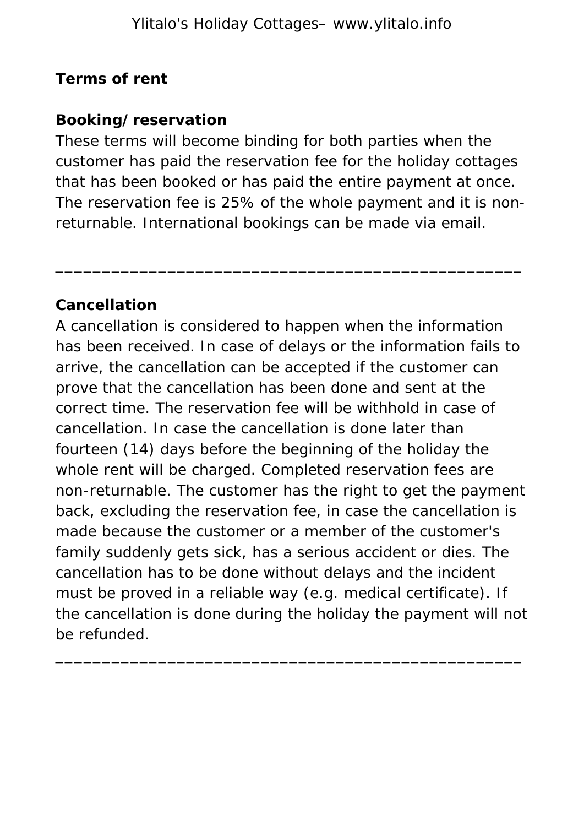#### **Terms of rent**

## **Booking/reservation**

These terms will become binding for both parties when the customer has paid the reservation fee for the holiday cottages that has been booked or has paid the entire payment at once. The reservation fee is 25% of the whole payment and it is nonreturnable. International bookings can be made via email.

\_\_\_\_\_\_\_\_\_\_\_\_\_\_\_\_\_\_\_\_\_\_\_\_\_\_\_\_\_\_\_\_\_\_\_\_\_\_\_\_\_\_\_\_\_\_\_\_\_\_

## **Cancellation**

A cancellation is considered to happen when the information has been received. In case of delays or the information fails to arrive, the cancellation can be accepted if the customer can prove that the cancellation has been done and sent at the correct time. The reservation fee will be withhold in case of cancellation. In case the cancellation is done later than fourteen (14) days before the beginning of the holiday the whole rent will be charged. Completed reservation fees are non-returnable. The customer has the right to get the payment back, excluding the reservation fee, in case the cancellation is made because the customer or a member of the customer's family suddenly gets sick, has a serious accident or dies. The cancellation has to be done without delays and the incident must be proved in a reliable way (e.g. medical certificate). If the cancellation is done during the holiday the payment will not be refunded.

\_\_\_\_\_\_\_\_\_\_\_\_\_\_\_\_\_\_\_\_\_\_\_\_\_\_\_\_\_\_\_\_\_\_\_\_\_\_\_\_\_\_\_\_\_\_\_\_\_\_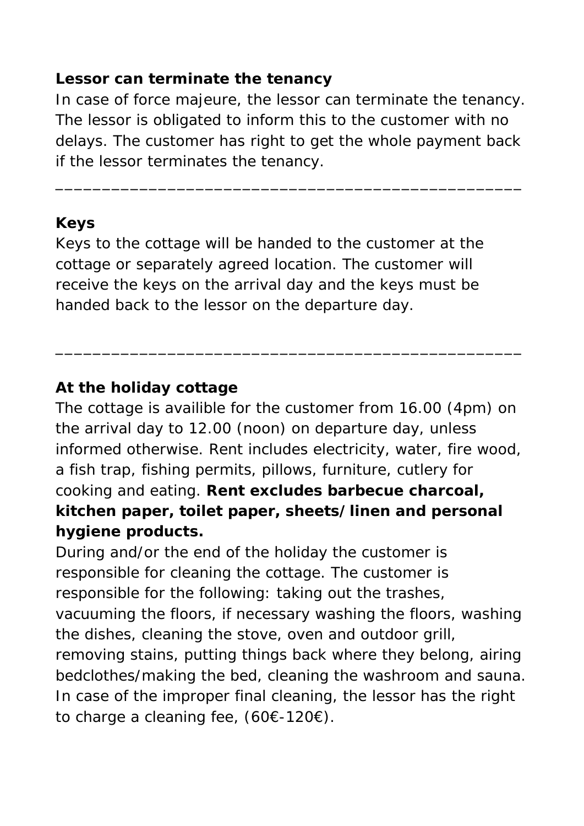#### **Lessor can terminate the tenancy**

In case of force majeure, the lessor can terminate the tenancy. The lessor is obligated to inform this to the customer with no delays. The customer has right to get the whole payment back if the lessor terminates the tenancy.

\_\_\_\_\_\_\_\_\_\_\_\_\_\_\_\_\_\_\_\_\_\_\_\_\_\_\_\_\_\_\_\_\_\_\_\_\_\_\_\_\_\_\_\_\_\_\_\_\_\_

#### **Keys**

Keys to the cottage will be handed to the customer at the cottage or separately agreed location. The customer will receive the keys on the arrival day and the keys must be handed back to the lessor on the departure day.

#### **At the holiday cottage**

The cottage is availible for the customer from 16.00 (4pm) on the arrival day to 12.00 (noon) on departure day, unless informed otherwise. Rent includes electricity, water, fire wood, a fish trap, fishing permits, pillows, furniture, cutlery for cooking and eating. **Rent excludes barbecue charcoal, kitchen paper, toilet paper, sheets/linen and personal hygiene products.**

\_\_\_\_\_\_\_\_\_\_\_\_\_\_\_\_\_\_\_\_\_\_\_\_\_\_\_\_\_\_\_\_\_\_\_\_\_\_\_\_\_\_\_\_\_\_\_\_\_\_

During and/or the end of the holiday the customer is responsible for cleaning the cottage. The customer is responsible for the following: taking out the trashes, vacuuming the floors, if necessary washing the floors, washing the dishes, cleaning the stove, oven and outdoor grill, removing stains, putting things back where they belong, airing bedclothes/making the bed, cleaning the washroom and sauna. In case of the improper final cleaning, the lessor has the right to charge a cleaning fee, (60€-120€).